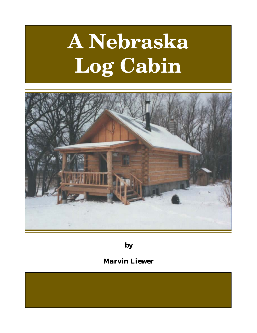# **A Nebraska Log Cabin**



*by*

# *Marvin Liewer*

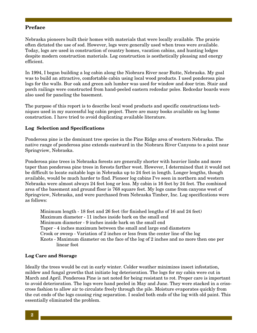# **Preface**

Nebraska pioneers built their homes with materials that were locally available. The prairie often dictated the use of sod. However, logs were generally used when trees were available. Today, logs are used in construction of country homes, vacation cabins, and hunting lodges despite modern construction materials. Log construction is aesthetically pleasing and energy efficient.

In 1994, I began building a log cabin along the Niobrara River near Butte, Nebraska. My goal was to build an attractive, comfortable cabin using local wood products. I used ponderosa pine logs for the walls. Bur oak and green ash lumber was used for window and door trim. Stair and porch railings were constructed from hand-peeled eastern redcedar poles. Redcedar boards were also used for paneling the basement.

The purpose of this report is to describe local wood products and specific constructions techniques used in my successful log cabin project. There are many books available on log home construction. I have tried to avoid duplicating available literature.

# **Log Selection and Specifications**

Ponderosa pine is the dominant tree species in the Pine Ridge area of western Nebraska. The native range of ponderosa pine extends eastward in the Niobrara River Canyons to a point near Springview, Nebraska.

Ponderosa pine trees in Nebraska forests are generally shorter with heavier limbs and more taper than ponderosa pine trees in forests farther west. However, I determined that it would not be difficult to locate suitable logs in Nebraska up to 24 feet in length. Longer lengths, though available, would be much harder to find. Pioneer log cabins I've seen in northern and western Nebraska were almost always 24 feet long or less. My cabin is 16 feet by 24 feet. The combined area of the basement and ground floor is 768 square feet. My logs came from canyons west of Springview, Nebraska, and were purchased from Nebraska Timber, Inc. Log specifications were as follows:

Minimum length - 18 feet and 26 feet (for finished lengths of 16 and 24 feet) Maximum diameter - 11 inches inside bark on the small end Minimum diameter - 9 inches inside bark on the small end Taper - 4 inches maximum between the small and large end diameters Crook or sweep - Variation of 2 inches or less from the center line of the log Knots - Maximum diameter on the face of the log of 2 inches and no more then one per linear foot

# **Log Care and Storage**

Ideally the trees would be cut in early winter. Colder weather minimizes insect infestation, mildew and fungal growths that initiate log deterioration. The logs for my cabin were cut in March and April. Ponderosa Pine is not noted for being resistant to rot. Proper care is important to avoid deterioration. The logs were hand peeled in May and June. They were stacked in a crisscross fashion to allow air to circulate freely through the pile. Moisture evaporates quickly from the cut ends of the logs causing ring separation. I sealed both ends of the log with old paint. This essentially eliminated the problem.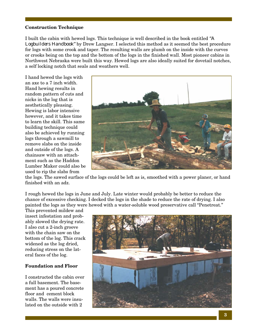#### **Construction Technique**

I built the cabin with hewed logs. This technique is well described in the book entitled *"A Logbuilders Handbook"* by Drew Langser. I selected this method as it seemed the best procedure for logs with some crook and taper. The resulting walls are plumb on the inside with the curves or crooks being on the top and the bottom of the logs in the finished wall. Most pioneer cabins in Northwest Nebraska were built this way. Hewed logs are also ideally suited for dovetail notches, a self locking notch that seals and weathers well.

I hand hewed the logs with an axe to a 7 inch width. Hand hewing results in random pattern of cuts and nicks in the log that is aesthetically pleasing. Hewing is labor intensive however, and it takes time to learn the skill. This same building technique could also be achieved by running logs through a sawmill to remove slabs on the inside and outside of the logs. A chainsaw with an attachment such as the Haddon Lumber Maker could also be used to rip the slabs from



the logs. The sawed surface of the logs could be left as is, smoothed with a power planer, or hand finished with an adz.

I rough hewed the logs in June and July. Late winter would probably be better to reduce the chance of excessive checking. I decked the logs in the shade to reduce the rate of drying. I also painted the logs as they were hewed with a water-soluble wood preservative call "Penetreat."

This prevented mildew and insect infestation and probably slowed the drying rate. I also cut a 2-inch groove with the chain saw on the bottom of the log. This crack widened as the log dried, reducing stress on the lateral faces of the log.

#### **Foundation and Floor**

I constructed the cabin over a full basement. The basement has a poured concrete floor and cement block walls. The walls were insulated on the outside with 2

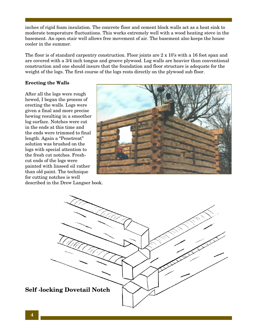inches of rigid foam insulation. The concrete floor and cement block walls act as a heat sink to moderate temperature fluctuations. This works extremely well with a wood heating stove in the basement. An open stair well allows free movement of air. The basement also keeps the house cooler in the summer.

The floor is of standard carpentry construction. Floor joints are 2 x 10's with a 16 foot span and are covered with a 3/4 inch tongue and groove plywood. Log walls are heavier than conventional construction and one should insure that the foundation and floor structure is adequate for the weight of the logs. The first course of the logs rests directly on the plywood sub floor.

# **Erecting the Walls**

After all the logs were rough hewed, I began the process of erecting the walls. Logs were given a final and more precise hewing resulting in a smoother log surface. Notches were cut in the ends at this time and the ends were trimmed to final length. Again a "Penetreat" solution was brushed on the logs with special attention to the fresh cut notches. Freshcut ends of the logs were painted with linseed oil rather than old paint. The technique for cutting notches is well



described in the Drew Langser book.

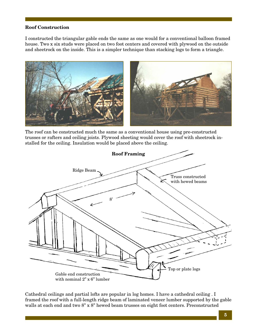# **Roof Construction**

I constructed the triangular gable ends the same as one would for a conventional balloon framed house. Two x six studs were placed on two foot centers and covered with plywood on the outside and sheetrock on the inside. This is a simpler technique than stacking logs to form a triangle.



The roof can be constructed much the same as a conventional house using pre-constructed trusses or rafters and ceiling joists. Plywood sheeting would cover the roof with sheetrock installed for the ceiling. Insulation would be placed above the ceiling.



Cathedral ceilings and partial lofts are popular in log homes. I have a cathedral ceiling . I framed the roof with a full-length ridge beam of laminated veneer lumber supported by the gable walls at each end and two 8" x 8" hewed beam trusses on eight foot centers. Preconstructed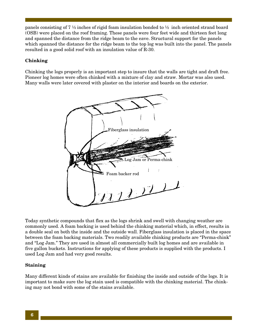panels consisting of 7 ½ inches of rigid foam insulation bonded to ½ inch oriented strand board (OSB) were placed on the roof framing. These panels were four feet wide and thirteen feet long and spanned the distance from the ridge beam to the eave. Structural support for the panels which spanned the distance for the ridge beam to the top log was built into the panel. The panels resulted in a good solid roof with an insulation value of R-30.

# **Chinking**

Chinking the logs properly is an important step to insure that the walls are tight and draft free. Pioneer log homes were often chinked with a mixture of clay and straw. Mortar was also used. Many walls were later covered with plaster on the interior and boards on the exterior.



Today synthetic compounds that flex as the logs shrink and swell with changing weather are commonly used. A foam backing is used behind the chinking material which, in effect, results in a double seal on both the inside and the outside wall. Fiberglass insulation is placed in the space between the foam backing materials. Two readily available chinking products are "Perma-chink" and "Log Jam." They are used in almost all commercially built log homes and are available in five gallon buckets. Instructions for applying of these products is supplied with the products. I used Log Jam and had very good results.

# **Staining**

Many different kinds of stains are available for finishing the inside and outside of the logs. It is important to make sure the log stain used is compatible with the chinking material. The chinking may not bond with some of the stains available.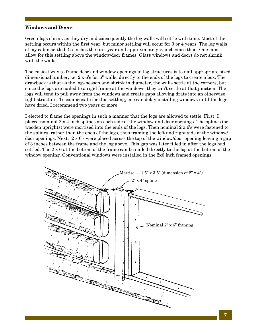#### **Windows and Doors**

Green logs shrink as they dry and consequently the log walls will settle with time. Most of the settling occurs within the first year, but minor settling will occur for 3 or 4 years. The log walls of my cabin settled 2.5 inches the first year and approximately  $\frac{1}{2}$  inch since then. One must allow for this settling above the window/door frames. Glass windows and doors do not shrink with the walls.

The easiest way to frame door and window openings in log structures is to nail appropriate sized dimensional lumber, i.e. 2 x 6's for 6" walls, directly to the ends of the logs to create a box. The drawback is that as the logs season and shrink in diameter, the walls settle at the corners, but since the logs are nailed to a rigid frame at the windows, they can't settle at that junction. The logs will tend to pull away from the windows and create gaps allowing drats into an otherwise tight structure. To compensate for this settling, one can delay installing windows until the logs have dried. I recommend two years or more.

I elected to frame the openings in such a manner that the logs are allowed to settle. First, I placed nominal 2 x 4 inch splines on each side of the window and door openings. The splines (or wooden uprights) were mortised into the ends of the logs. Then nominal 2 x 6's were fastened to the splines, rather than the ends of the logs, thus framing the left and right side of the window/ door openings. Next, 2 x 6's were placed across the top of the window/door opening leaving a gap of 3 inches between the frame and the log above. This gap was later filled in after the logs had settled. The 2 x 6 at the bottom of the frame can be nailed directly to the log at the bottom of the window opening. Conventional windows were installed in the 2x6 inch framed openings.

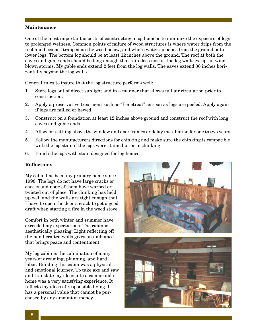#### **Maintenance**

One of the most important aspects of constructing a log home is to minimize the exposure of logs to prolonged wetness. Common points of failure of wood structures is where water drips from the roof and becomes trapped on the wood below, and where water splashes from the ground onto lower logs. The bottom log should be at least 12 inches above the ground. The roof at both the eaves and gable ends should be long enough that rain does not hit the log walls except in windblown storms. My gable ends extend 2 feet from the log walls. The eaves extend 36 inches horizontally beyond the log walls.

General rules to insure that the log structure performs well:

- 1. Store logs out of direct sunlight and in a manner that allows full air circulation prior to construction.
- 2. Apply a preservative treatment such as "Penetreat" as soon as logs are peeled. Apply again if logs are milled or hewed.
- 3. Construct on a foundation at least 12 inches above ground and construct the roof with long eaves and gable ends.
- 4. Allow for settling above the window and door frames or delay installation for one to two years.
- 5. Follow the manufacturers directions for chinking and make sure the chinking is compatible with the log stain if the logs were stained prior to chinking.
- 6. Finish the logs with stain designed for log homes.

# **Reflections**

My cabin has been my primary home since 1998. The logs do not have large cracks or checks and none of them have warped or twisted out of place. The chinking has held up well and the walls are tight enough that I have to open the door a crack to get a good draft when starting a fire in the wood stove.

Comfort in both winter and summer have exceeded my expectations. The cabin is aesthetically pleasing. Light reflecting off the hand-crafted walls gives an ambiance that brings peace and contentment.

My log cabin is the culmination of many years of dreaming, planning, and hard labor. Building this cabin was a physical and emotional journey. To take axe and saw and translate my ideas into a comfortable home was a very satisfying experience. It reflects my ideas of responsible living. It has a personal value that cannot be purchased by any amount of money.



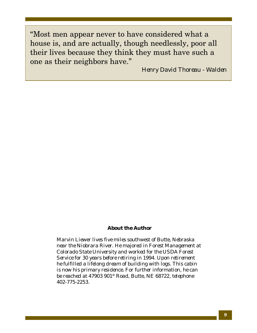"Most men appear never to have considered what a house is, and are actually, though needlessly, poor all their lives because they think they must have such a one as their neighbors have."

*Henry David Thoreau - Walden*

#### *About the Author*

*Marvin Liewer lives five miles southwest of Butte, Nebraska near the Niobrara River. He majored in Forest Management at Colorado State University and worked for the USDA Forest Service for 30 years before retiring in 1994. Upon retirement he fulfilled a lifelong dream of building with logs. This cabin is now his primary residence. For further information, he can be reached at 47903 901st Road, Butte, NE 68722, telephone 402-775-2253.*